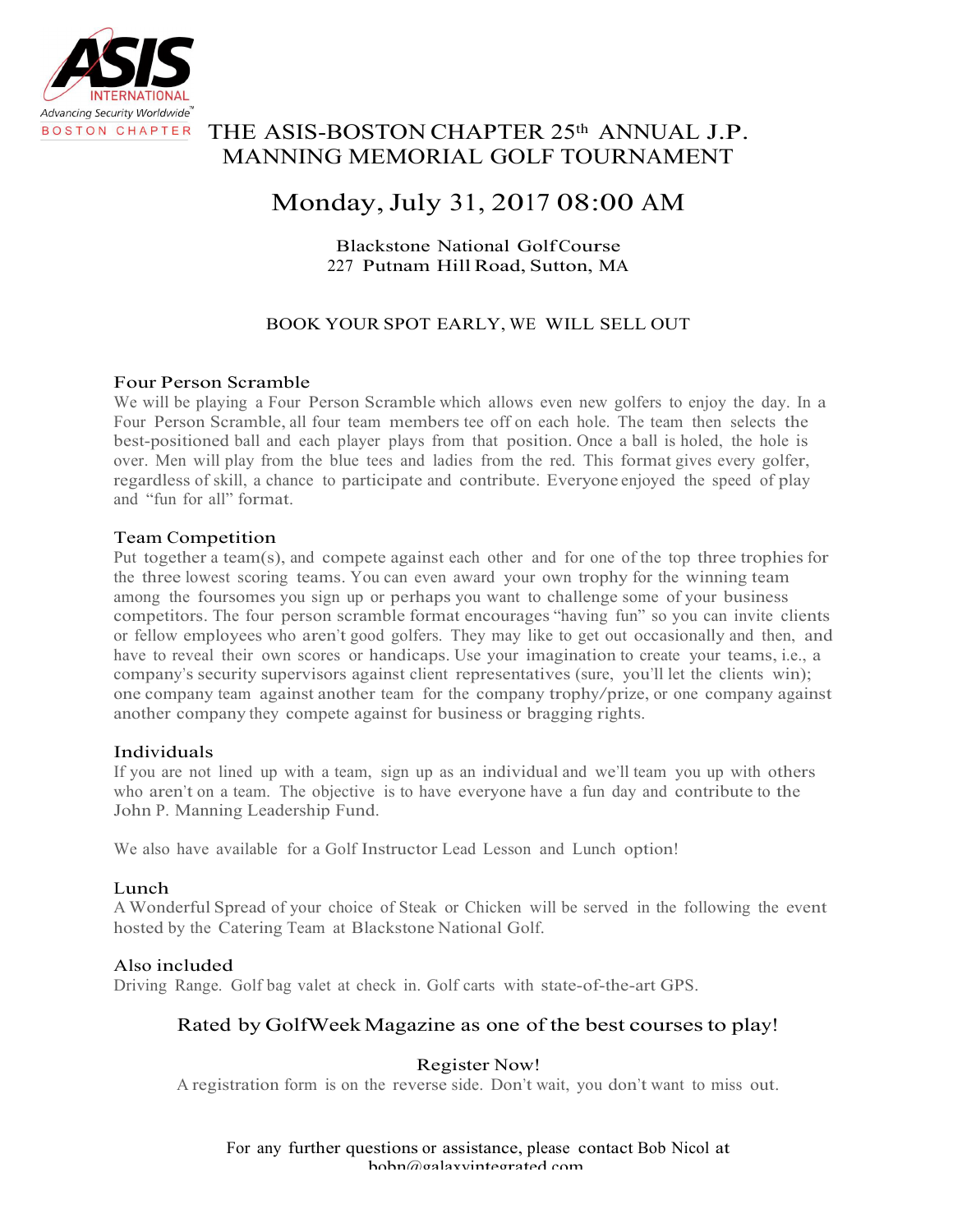

## THE ASIS-BOSTON CHAPTER 25th ANNUAL J.P. MANNING MEMORIAL GOLF TOURNAMENT

# Monday,July 31, 2017 08:00 AM

### Blackstone National GolfCourse 227 Putnam Hill Road, Sutton, MA

## BOOK YOUR SPOT EARLY, WE WILL SELL OUT

#### Four Person Scramble

We will be playing a Four Person Scramble which allows even new golfers to enjoy the day. In a Four Person Scramble, all four team members tee off on each hole. The team then selects the best-positioned ball and each player plays from that position. Once a ball is holed, the hole is over. Men will play from the blue tees and ladies from the red. This format gives every golfer, regardless of skill, a chance to participate and contribute. Everyone enjoyed the speed of play and "fun for all" format.

#### Team Competition

Put together a team(s), and compete against each other and for one of the top three trophies for the three lowest scoring teams. You can even award your own trophy for the winning team among the foursomes you sign up or perhaps you want to challenge some of your business competitors. The four person scramble format encourages "having fun" so you can invite clients or fellow employees who aren't good golfers. They may like to get out occasionally and then, and have to reveal their own scores or handicaps. Use your imagination to create your teams, i.e., a company's security supervisors against client representatives (sure, you'll let the clients win); one company team against another team for the company trophy/prize, or one company against another company they compete against for business or bragging rights.

#### Individuals

If you are not lined up with a team, sign up as an individual and we'll team you up with others who aren't on a team. The objective is to have everyone have a fun day and contribute to the John P. Manning Leadership Fund.

We also have available for a Golf Instructor Lead Lesson and Lunch option!

#### Lunch

A Wonderful Spread of your choice of Steak or Chicken will be served in the following the event hosted by the Catering Team at Blackstone National Golf.

#### Also included

Driving Range. Golf bag valet at check in. Golf carts with state-of-the-art GPS.

## Rated by GolfWeek Magazine as one of the best courses to play!

#### Register Now!

A registration form is on the reverse side. Don't wait, you don't want to miss out.